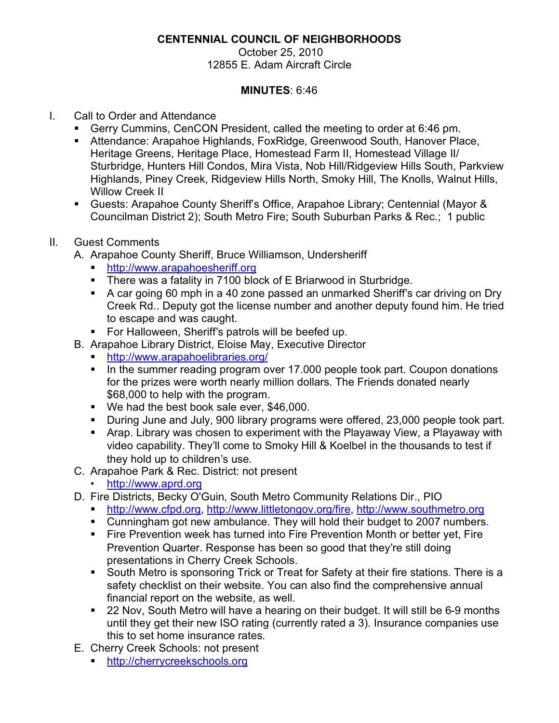# **CENTENNIAL COUNCIL OF NEIGHBORHOODS**

October 25, 2010 12855 E. Adam Aircraft Circle

#### **MINUTES**: 6:46

# I. Call to Order and Attendance

- ! Gerry Cummins, CenCON President, called the meeting to order at 6:46 pm.
- ! Attendance: Arapahoe Highlands, FoxRidge, Greenwood South, Hanover Place, Heritage Greens, Heritage Place, Homestead Farm II, Homestead Village II/ Sturbridge, Hunters Hill Condos, Mira Vista, Nob Hill/Ridgeview Hills South, Parkview Highlands, Piney Creek, Ridgeview Hills North, Smoky Hill, The Knolls, Walnut Hills, Willow Creek II
- ! Guests: Arapahoe County Sheriff's Office, Arapahoe Library; Centennial (Mayor & Councilman District 2); South Metro Fire; South Suburban Parks & Rec.; 1 public

# II. Guest Comments

- A. Arapahoe County Sheriff, Bruce Williamson, Undersheriff
	- ! http://www.arapahoesheriff.org
	- **There was a fatality in 7100 block of E Briarwood in Sturbridge.**
	- . A car going 60 mph in a 40 zone passed an unmarked Sheriff's car driving on Dry Creek Rd.. Deputy got the license number and another deputy found him. He tried to escape and was caught.
	- **EXECT:** For Halloween, Sheriff's patrols will be beefed up.
- B. Arapahoe Library District, Eloise May, Executive Director
	- ! http://www.arapahoelibraries.org/
	- ! In the summer reading program over 17.000 people took part. Coupon donations for the prizes were worth nearly million dollars. The Friends donated nearly \$68,000 to help with the program.
	- ! We had the best book sale ever, \$46,000.
	- ! During June and July, 900 library programs were offered, 23,000 people took part.
	- ! Arap. Library was chosen to experiment with the Playaway View, a Playaway with video capability. They'll come to Smoky Hill & Koelbel in the thousands to test if they hold up to children's use.
- C. Arapahoe Park & Rec. District: not present
	- http://www.aprd.org
- D. Fire Districts, Becky O'Guin, South Metro Community Relations Dir., PIO
	- ! http://www.cfpd.org, http://www.littletongov.org/fire, http://www.southmetro.org
	- ! Cunningham got new ambulance. They will hold their budget to 2007 numbers.
	- ! Fire Prevention week has turned into Fire Prevention Month or better yet, Fire Prevention Quarter. Response has been so good that they're still doing presentations in Cherry Creek Schools.
	- **.** South Metro is sponsoring Trick or Treat for Safety at their fire stations. There is a safety checklist on their website. You can also find the comprehensive annual financial report on the website, as well.
	- 22 Nov, South Metro will have a hearing on their budget. It will still be 6-9 months until they get their new ISO rating (currently rated a 3). Insurance companies use this to set home insurance rates.
- E. Cherry Creek Schools: not present
	- ! http://cherrycreekschools.org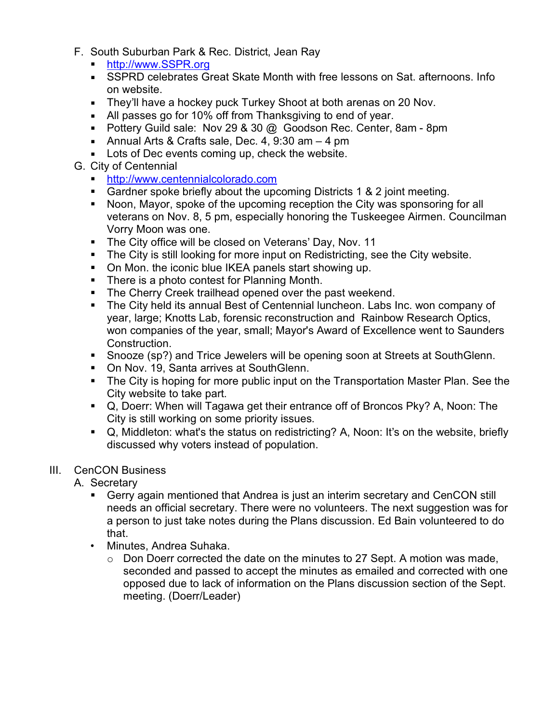- F. South Suburban Park & Rec. District, Jean Ray
	- ! http://www.SSPR.org
	- ! SSPRD celebrates Great Skate Month with free lessons on Sat. afternoons. Info on website.
	- **EXECT** They'll have a hockey puck Turkey Shoot at both arenas on 20 Nov.
	- ! All passes go for 10% off from Thanksgiving to end of year.
	- **Pottery Guild sale: Nov 29 & 30 @ Goodson Rec. Center, 8am 8pm**
	- **-** Annual Arts & Crafts sale, Dec. 4, 9:30 am  $-$  4 pm
	- **EXECT** Lots of Dec events coming up, check the website.

# G. City of Centennial

- ! http://www.centennialcolorado.com
- ! Gardner spoke briefly about the upcoming Districts 1 & 2 joint meeting.
- ! Noon, Mayor, spoke of the upcoming reception the City was sponsoring for all veterans on Nov. 8, 5 pm, especially honoring the Tuskeegee Airmen. Councilman Vorry Moon was one.
- **The City office will be closed on Veterans' Day, Nov. 11**
- ! The City is still looking for more input on Redistricting, see the City website.
- ! On Mon. the iconic blue IKEA panels start showing up.
- **There is a photo contest for Planning Month.**
- **The Cherry Creek trailhead opened over the past weekend.**
- ! The City held its annual Best of Centennial luncheon. Labs Inc. won company of year, large; Knotts Lab, forensic reconstruction and Rainbow Research Optics, won companies of the year, small; Mayor's Award of Excellence went to Saunders Construction.
- ! Snooze (sp?) and Trice Jewelers will be opening soon at Streets at SouthGlenn.
- **On Nov. 19, Santa arrives at SouthGlenn.**
- ! The City is hoping for more public input on the Transportation Master Plan. See the City website to take part.
- ! Q, Doerr: When will Tagawa get their entrance off of Broncos Pky? A, Noon: The City is still working on some priority issues.
- Q, Middleton: what's the status on redistricting? A, Noon: It's on the website, briefly discussed why voters instead of population.

# III. CenCON Business

- A. Secretary
	- ! Gerry again mentioned that Andrea is just an interim secretary and CenCON still needs an official secretary. There were no volunteers. The next suggestion was for a person to just take notes during the Plans discussion. Ed Bain volunteered to do that.
	- Minutes, Andrea Suhaka.
		- o Don Doerr corrected the date on the minutes to 27 Sept. A motion was made, seconded and passed to accept the minutes as emailed and corrected with one opposed due to lack of information on the Plans discussion section of the Sept. meeting. (Doerr/Leader)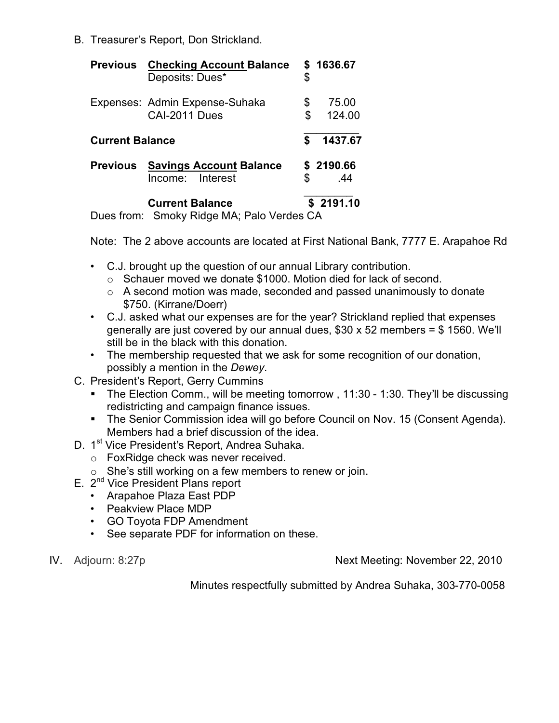B. Treasurer's Report, Don Strickland.

|                        | <b>Previous</b> Checking Account Balance<br>Deposits: Dues* | \$       | \$1636.67        |
|------------------------|-------------------------------------------------------------|----------|------------------|
|                        | Expenses: Admin Expense-Suhaka<br>CAI-2011 Dues             | \$<br>\$ | 75.00<br>124.00  |
| <b>Current Balance</b> |                                                             | \$       | 1437.67          |
| <b>Previous</b>        | <b>Savings Account Balance</b><br>Income: Interest          |          | \$2190.66<br>.44 |
|                        | <b>Current Balance</b><br>.                                 |          | \$2191.10        |

Dues from: Smoky Ridge MA; Palo Verdes CA

Note: The 2 above accounts are located at First National Bank, 7777 E. Arapahoe Rd

- C.J. brought up the question of our annual Library contribution.
	- o Schauer moved we donate \$1000. Motion died for lack of second.
	- $\circ$  A second motion was made, seconded and passed unanimously to donate \$750. (Kirrane/Doerr)
- C.J. asked what our expenses are for the year? Strickland replied that expenses generally are just covered by our annual dues,  $$30 \times 52$  members = \$1560. We'll still be in the black with this donation.
- The membership requested that we ask for some recognition of our donation, possibly a mention in the *Dewey*.
- C. President's Report, Gerry Cummins
	- The Election Comm., will be meeting tomorrow, 11:30 1:30. They'll be discussing redistricting and campaign finance issues.
	- **The Senior Commission idea will go before Council on Nov. 15 (Consent Agenda).** Members had a brief discussion of the idea.
- D. 1<sup>st</sup> Vice President's Report, Andrea Suhaka.
	- o FoxRidge check was never received.
	- $\circ$  She's still working on a few members to renew or join.
- E. 2<sup>nd</sup> Vice President Plans report
	- Arapahoe Plaza East PDP
	- Peakview Place MDP
	- GO Toyota FDP Amendment
	- See separate PDF for information on these.
- 

IV. Adjourn: 8:27p **Next Meeting: November 22, 2010** 

Minutes respectfully submitted by Andrea Suhaka, 303-770-0058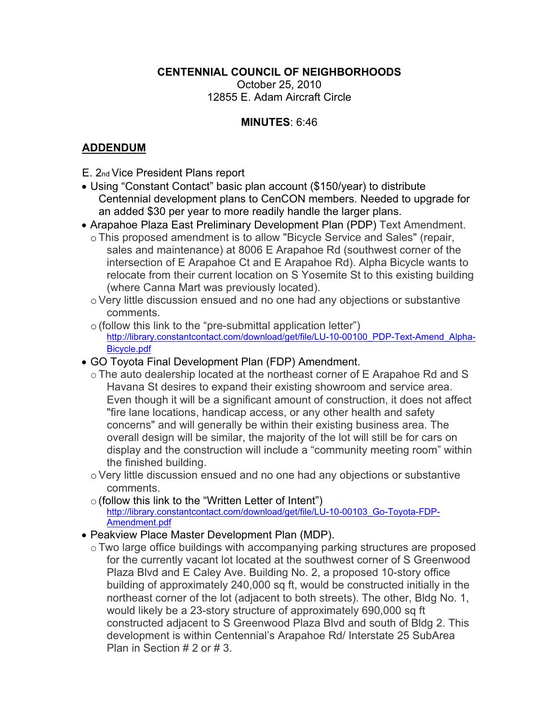#### **CENTENNIAL COUNCIL OF NEIGHBORHOODS**

October 25, 2010 12855 E. Adam Aircraft Circle

#### MINUTES: 6:46

#### **ADDENDUM**

- E. 2nd Vice President Plans report
- Using "Constant Contact" basic plan account (\$150/year) to distribute Centennial development plans to CenCON members. Needed to upgrade for an added \$30 per year to more readily handle the larger plans.
- Arapahoe Plaza East Preliminary Development Plan (PDP) Text Amendment.
	- o This proposed amendment is to allow "Bicycle Service and Sales" (repair, sales and maintenance) at 8006 E Arapahoe Rd (southwest corner of the intersection of E Arapahoe Ct and E Arapahoe Rd). Alpha Bicycle wants to relocate from their current location on S Yosemite St to this existing building (where Canna Mart was previously located).
	- Very little discussion ensued and no one had any objections or substantive comments.
	- $\circ$  (follow this link to the "pre-submittal application letter") http://library.constantcontact.com/download/get/file/LU-10-00100 PDP-Text-Amend Alpha-Bicycle.pdf
- GO Toyota Final Development Plan (FDP) Amendment.
	- The auto dealership located at the northeast corner of E Arapahoe Rd and S Havana St desires to expand their existing showroom and service area. Even though it will be a significant amount of construction, it does not affect "fire lane locations, handicap access, or any other health and safety concerns" and will generally be within their existing business area. The overall design will be similar, the majority of the lot will still be for cars on display and the construction will include a "community meeting room" within the finished building.
	- o Very little discussion ensued and no one had any objections or substantive comments.
	- o (follow this link to the "Written Letter of Intent") http://library.constantcontact.com/download/get/file/LU-10-00103 Go-Toyota-FDP-Amendment.pdf
- Peakview Place Master Development Plan (MDP).
- o Two large office buildings with accompanying parking structures are proposed for the currently vacant lot located at the southwest corner of S Greenwood Plaza Blvd and E Caley Ave. Building No. 2, a proposed 10-story office building of approximately 240,000 sq ft, would be constructed initially in the northeast corner of the lot (adjacent to both streets). The other, Bldg No. 1, would likely be a 23-story structure of approximately 690,000 sq ft constructed adjacent to S Greenwood Plaza Blvd and south of Bldg 2. This development is within Centennial's Arapahoe Rd/ Interstate 25 SubArea Plan in Section  $# 2$  or  $# 3$ .